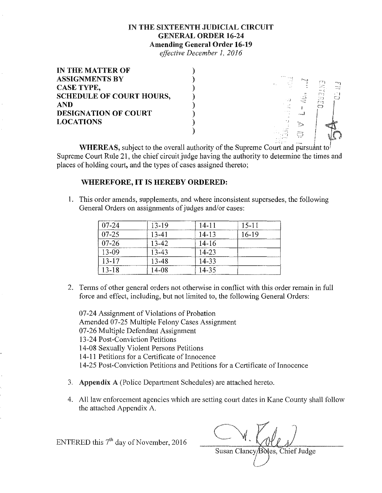## IN THE SIXTEENTH JUDICIAL CIRCUIT GENERAL ORDER 16-24 Amending General Order 16-19

effective December 1, 2016

| 1818.14                           |
|-----------------------------------|
| m<br>÷Т<br>120<br>ليبين           |
| ╲                                 |
| <b>All Fords</b><br><b>Showed</b> |
|                                   |
| $\cdots$<br>L., .,                |
|                                   |
|                                   |

**WHEREAS,** subject to the overall authority of the Supreme Court and pursuant to Supreme Court Rule 21, the chief circuit judge having the authority to determine the times and places of holding court, and the types of cases assigned thereto;

## WHEREFORE, IT IS HEREBY ORDERED:

L This order amends, supplements, and where inconsistent supersedes, the following General Orders on assignments of judges and/or cases:

| $07 - 24$ | 13-19 | 14-11     | $15 - 11$ |
|-----------|-------|-----------|-----------|
| $07 - 25$ | 13-41 | 14-13     | 16-19     |
| $07 - 26$ | 13-42 | $14 - 16$ |           |
| 13-09     | 13-43 | 14-23     |           |
| $13 - 17$ | 13-48 | 14-33     |           |
| $13-18$   | 14-08 | 14-35     |           |

2, Terms of other general orders not otherwise in conflict with this order remain in full force and effect, including, but not limited to, the following General Orders:

07-24 Assignment of Violations of Probation Amended 07-25 Multiple Felony Cases Assignment 07-26 Multiple Defendant Assignment 13-24 Post-Conviction Petitions 14-08 Sexually Violent Persons Petitions 14-11 Petitions for a Certificate of Innocence 14-25 Post-Conviction Petitions and Petitions for a Certificate of Innocence

- 3. Appendix A (Police Department Schedules) are attached hereto,
- 4, All law enforcement agencies which are setting court dates in Kane County shall follow the attached Appendix A

ENTERED this  $7<sup>th</sup>$  day of November, 2016

Susan Clancy/Boles, Chief Judge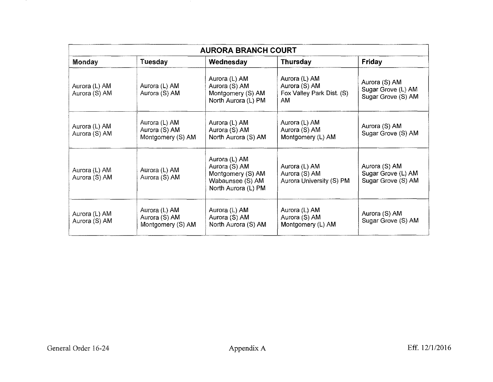| <b>AURORA BRANCH COURT</b>     |                                                     |                                                                                                |                                                                   |                                                           |
|--------------------------------|-----------------------------------------------------|------------------------------------------------------------------------------------------------|-------------------------------------------------------------------|-----------------------------------------------------------|
| Monday                         | Tuesday                                             | Wednesday                                                                                      | <b>Thursday</b>                                                   | Friday                                                    |
| Aurora (L) AM<br>Aurora (S) AM | Aurora (L) AM<br>Aurora (S) AM                      | Aurora (L) AM<br>Aurora (S) AM<br>Montgomery (S) AM<br>North Aurora (L) PM                     | Aurora (L) AM<br>Aurora (S) AM<br>Fox Valley Park Dist. (S)<br>AM | Aurora (S) AM<br>Sugar Grove (L) AM<br>Sugar Grove (S) AM |
| Aurora (L) AM<br>Aurora (S) AM | Aurora (L) AM<br>Aurora (S) AM<br>Montgomery (S) AM | Aurora (L) AM<br>Aurora (S) AM<br>North Aurora (S) AM                                          | Aurora (L) AM<br>Aurora (S) AM<br>Montgomery (L) AM               | Aurora (S) AM<br>Sugar Grove (S) AM                       |
| Aurora (L) AM<br>Aurora (S) AM | Aurora (L) AM<br>Aurora (S) AM                      | Aurora (L) AM<br>Aurora (S) AM<br>Montgomery (S) AM<br>Wabaunsee (S) AM<br>North Aurora (L) PM | Aurora (L) AM<br>Aurora (S) AM<br>Aurora University (S) PM        | Aurora (S) AM<br>Sugar Grove (L) AM<br>Sugar Grove (S) AM |
| Aurora (L) AM<br>Aurora (S) AM | Aurora (L) AM<br>Aurora (S) AM<br>Montgomery (S) AM | Aurora (L) AM<br>Aurora (S) AM<br>North Aurora (S) AM                                          | Aurora (L) AM<br>Aurora (S) AM<br>Montgomery (L) AM               | Aurora (S) AM<br>Sugar Grove (S) AM                       |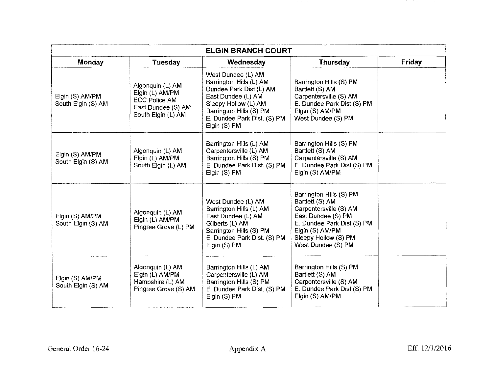| <b>ELGIN BRANCH COURT</b>             |                                                                                                         |                                                                                                                                                                                                  |                                                                                                                                                                                           |        |
|---------------------------------------|---------------------------------------------------------------------------------------------------------|--------------------------------------------------------------------------------------------------------------------------------------------------------------------------------------------------|-------------------------------------------------------------------------------------------------------------------------------------------------------------------------------------------|--------|
| Monday                                | <b>Tuesday</b>                                                                                          | Wednesday                                                                                                                                                                                        | <b>Thursday</b>                                                                                                                                                                           | Friday |
| Elgin (S) AM/PM<br>South Elgin (S) AM | Algonquin (L) AM<br>Elgin (L) AM/PM<br><b>ECC Police AM</b><br>East Dundee (S) AM<br>South Elgin (L) AM | West Dundee (L) AM<br>Barrington Hills (L) AM<br>Dundee Park Dist (L) AM<br>East Dundee (L) AM<br>Sleepy Hollow (L) AM<br>Barrington Hills (S) PM<br>E. Dundee Park Dist. (S) PM<br>Elgin (S) PM | Barrington Hills (S) PM<br>Bartlett (S) AM<br>Carpentersville (S) AM<br>E. Dundee Park Dist (S) PM<br>Elgin (S) AM/PM<br>West Dundee (S) PM                                               |        |
| Elgin (S) AM/PM<br>South Elgin (S) AM | Algonquin (L) AM<br>Elgin (L) AM/PM<br>South Elgin (L) AM                                               | Barrington Hills (L) AM<br>Carpentersville (L) AM<br>Barrington Hills (S) PM<br>E. Dundee Park Dist. (S) PM<br>Elgin (S) PM                                                                      | Barrington Hills (S) PM<br>Bartlett (S) AM<br>Carpentersville (S) AM<br>E. Dundee Park Dist (S) PM<br>Elgin (S) AM/PM                                                                     |        |
| Elgin (S) AM/PM<br>South Elgin (S) AM | Algonquin (L) AM<br>Elgin (L) AM/PM<br>Pingree Grove (L) PM                                             | West Dundee (L) AM<br>Barrington Hills (L) AM<br>East Dundee (L) AM<br>Gilberts (L) AM<br>Barrington Hills (S) PM<br>E. Dundee Park Dist. (S) PM<br>Elgin (S) PM                                 | Barrington Hills (S) PM<br>Bartlett (S) AM<br>Carpentersville (S) AM<br>East Dundee (S) PM<br>E. Dundee Park Dist (S) PM<br>Elgin (S) AM/PM<br>Sleepy Hollow (S) PM<br>West Dundee (S) PM |        |
| Elgin (S) AM/PM<br>South Elgin (S) AM | Algonquin (L) AM<br>Elgin (L) AM/PM<br>Hampshire (L) AM<br>Pingree Grove (S) AM                         | Barrington Hills (L) AM<br>Carpentersville (L) AM<br>Barrington Hills (S) PM<br>E. Dundee Park Dist. (S) PM<br>Elgin (S) PM                                                                      | Barrington Hills (S) PM<br>Bartlett (S) AM<br>Carpentersville (S) AM<br>E. Dundee Park Dist (S) PM<br>Elgin (S) AM/PM                                                                     |        |

and the state of the state of the